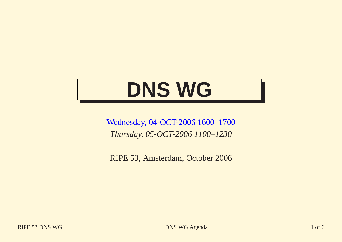# **DNS WG**

Wednesday, 04-OCT-2006 1600–1700 *Thursday, 05-OCT-2006 1100–1230*

RIPE 53, Amsterdam, October 2006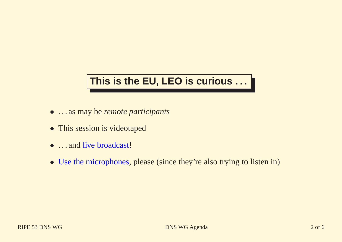#### **This is the EU, LEO is curious . . .**

- . . . as may be *remote participants*
- This session is videotaped
- ... and live broadcast!
- Use the microphones, please (since they're also trying to listen in)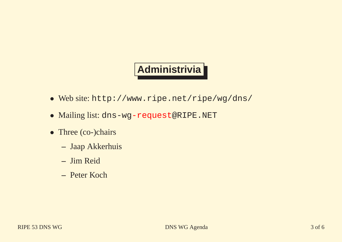# **Administrivia**

- Web site: http://www.ripe.net/ripe/wg/dns/
- Mailing list: dns-wg-request@RIPE.NET
- Three (co-)chairs
	- **–** Jaap Akkerhuis
	- **–** Jim Reid
	- **–** Peter Koch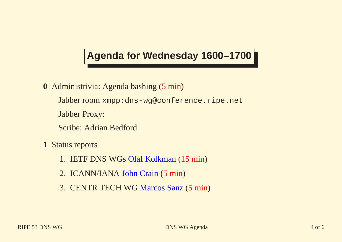## **Agenda for Wednesday 1600–1700**

- **0** Administrivia: Agenda bashing (5 min )
	- Jabber room xmpp:dns-wg@conference.ripe.net
	- Jabber Proxy:
	- Scribe: Adrian Bedford
- **1** Status reports
	- 1. IETF DNS WGs Olaf Kolkman (15 min )
	- 2. ICANN/IANA John Crain (5 min )
	- 3. CENTR TECH WG Marcos Sanz (5 min )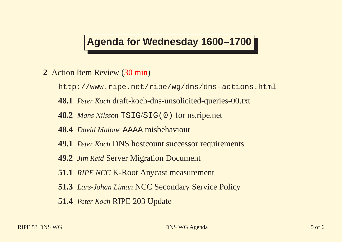#### **Agenda for Wednesday 1600–1700**

- **2** Action Item Review (30 min )
	- http://www.ripe.net/ripe/wg/dns/dns-actions.html
	- **48.1** *Peter Koch* draft-koch-dns-unsolicited-queries-00.txt
	- **48.2** *Mans Nilsson* TSIG /SIG(0) for ns.ripe.net
	- **48.4** *David Malone* AAAA misbehaviour
	- **49.1** *Peter Koch* DNS hostcount successor requirements
	- **49.2** *Jim Reid* Server Migration Document
	- **51.1** *RIPE NCC* K-Root Anycast measurement
	- **51.3** *Lars-Johan Liman* NCC Secondary Service Policy
	- **51.4** *Peter Koch* RIPE 203 Update